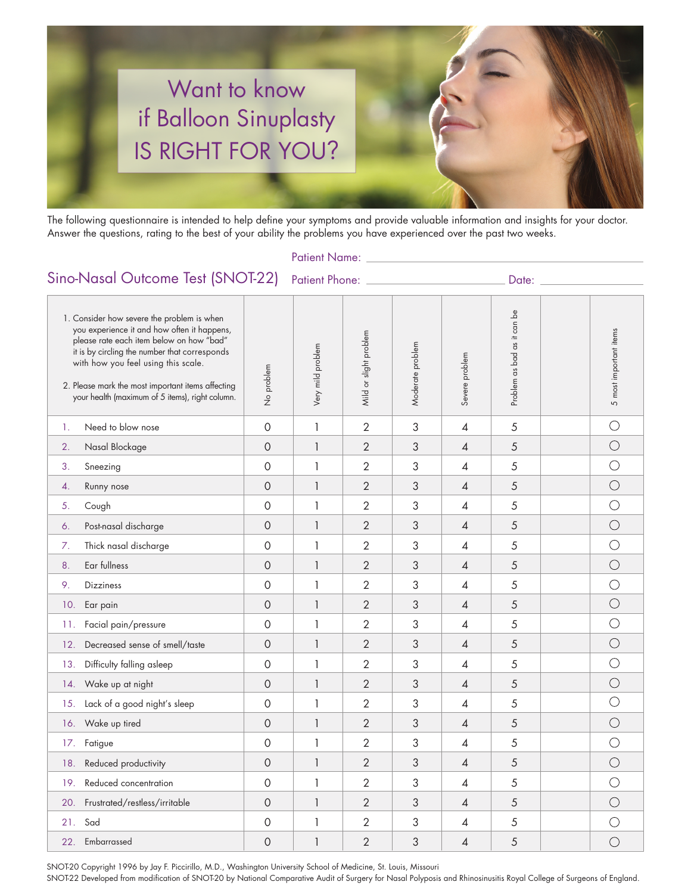

The following questionnaire is intended to help define your symptoms and provide valuable information and insights for your doctor. Answer the questions, rating to the best of your ability the problems you have experienced over the past two weeks.

Patient Name: \_

# Sino-Nasal Outcome Test (SNOT-22) Patient Phone: \_\_\_\_\_\_\_\_\_\_\_\_\_\_\_\_\_\_\_\_\_\_\_\_Date:

| 1. Consider how severe the problem is when<br>you experience it and how often it happens,<br>please rate each item below on how "bad"<br>it is by circling the number that corresponds<br>with how you feel using this scale.<br>2. Please mark the most important items affecting<br>your health (maximum of 5 items), right column. |                                | No problem     | Very mild problem | Mild or slight problem | Moderate problem | Severe problem | Problem as bad as it can be | 5 most important items |
|---------------------------------------------------------------------------------------------------------------------------------------------------------------------------------------------------------------------------------------------------------------------------------------------------------------------------------------|--------------------------------|----------------|-------------------|------------------------|------------------|----------------|-----------------------------|------------------------|
| 1.                                                                                                                                                                                                                                                                                                                                    | Need to blow nose              | $\overline{0}$ | $\mathbf{1}$      | $\overline{2}$         | 3                | $\overline{4}$ | 5                           | $\bigcirc$             |
| 2.                                                                                                                                                                                                                                                                                                                                    | Nasal Blockage                 | $\Omega$       | $\mathbf{1}$      | $\overline{2}$         | 3                | $\overline{A}$ | 5                           | $\bigcirc$             |
| 3.                                                                                                                                                                                                                                                                                                                                    | Sneezing                       | $\mathbf 0$    | $\mathbf{1}$      | $\overline{2}$         | 3                | $\sqrt{4}$     | 5                           | $\bigcirc$             |
| 4.                                                                                                                                                                                                                                                                                                                                    | Runny nose                     | $\overline{O}$ | $\mathbf{1}$      | $\overline{2}$         | 3                | $\overline{A}$ | 5                           | $\bigcirc$             |
| 5.                                                                                                                                                                                                                                                                                                                                    | Cough                          | $\mathbf 0$    | $\mathbf{1}$      | $\overline{2}$         | 3                | $\sqrt{4}$     | 5                           | $\bigcirc$             |
| 6.                                                                                                                                                                                                                                                                                                                                    | Post-nasal discharge           | $\mathbf 0$    | $\mathbf{1}$      | $\overline{2}$         | 3                | $\overline{A}$ | 5                           | $\bigcirc$             |
| 7.                                                                                                                                                                                                                                                                                                                                    | Thick nasal discharge          | $\mathbf 0$    | $\mathbf{1}$      | $\overline{2}$         | 3                | $\overline{A}$ | 5                           | $\bigcirc$             |
| 8.                                                                                                                                                                                                                                                                                                                                    | Ear fullness                   | 0              | $\mathbf{1}$      | $\overline{2}$         | 3                | $\overline{A}$ | 5                           | $\bigcirc$             |
| 9.                                                                                                                                                                                                                                                                                                                                    | <b>Dizziness</b>               | $\overline{O}$ | $\mathbf{1}$      | $\overline{2}$         | 3                | $\overline{4}$ | 5                           | $\bigcirc$             |
| 10.                                                                                                                                                                                                                                                                                                                                   | Ear pain                       | $\mathbf 0$    | $\mathbf{1}$      | $\overline{2}$         | 3                | $\sqrt{4}$     | 5                           | $\bigcirc$             |
| 11.                                                                                                                                                                                                                                                                                                                                   | Facial pain/pressure           | $\mathbf 0$    | $\mathbf{1}$      | $\overline{2}$         | 3                | 4              | 5                           | $\bigcirc$             |
| 12.                                                                                                                                                                                                                                                                                                                                   | Decreased sense of smell/taste | $\overline{O}$ | $\mathbf{1}$      | $\overline{2}$         | 3                | $\overline{A}$ | 5                           | $\bigcirc$             |
| 13.                                                                                                                                                                                                                                                                                                                                   | Difficulty falling asleep      | $\mathbf 0$    | $\mathbf{1}$      | $\overline{2}$         | 3                | $\overline{4}$ | 5                           | $\bigcirc$             |
| 14.                                                                                                                                                                                                                                                                                                                                   | Wake up at night               | $\overline{O}$ | $\mathbf{1}$      | $\overline{2}$         | 3                | $\overline{A}$ | 5                           | $\bigcirc$             |
| 15.                                                                                                                                                                                                                                                                                                                                   | Lack of a good night's sleep   | $\mathbf 0$    | 1                 | $\overline{2}$         | 3                | 4              | 5                           | $\bigcirc$             |
| 16.                                                                                                                                                                                                                                                                                                                                   | Wake up tired                  | $\mathbf 0$    | 1                 | $\overline{2}$         | 3                | $\sqrt{4}$     | 5                           | $\bigcirc$             |
| 17.                                                                                                                                                                                                                                                                                                                                   | Fatigue                        | $\overline{O}$ | $\mathbf{1}$      | $\overline{2}$         | 3                | $\overline{4}$ | 5                           | $\bigcirc$             |
| 18.                                                                                                                                                                                                                                                                                                                                   | Reduced productivity           | $\mathbf 0$    | $\mathbf{1}$      | $\overline{2}$         | 3                | $\overline{A}$ | 5                           | $\bigcirc$             |
| 19.                                                                                                                                                                                                                                                                                                                                   | Reduced concentration          | $\mathbf 0$    | 1                 | $\overline{2}$         | 3                | 4              | 5                           | $\bigcirc$             |
| 20.                                                                                                                                                                                                                                                                                                                                   | Frustrated/restless/irritable  | $\overline{O}$ | $\mathbf{1}$      | $\overline{2}$         | 3                | $\overline{A}$ | 5                           | $\bigcirc$             |
| 21.                                                                                                                                                                                                                                                                                                                                   | Sad                            | $\mathbf 0$    | 1                 | $\overline{2}$         | 3                | $\overline{4}$ | 5                           | $\bigcirc$             |
|                                                                                                                                                                                                                                                                                                                                       | 22. Embarrassed                | $\mathbf 0$    | $\mathbf{1}$      | $\overline{2}$         | 3                | 4              | 5                           | $\bigcirc$             |

SNOT-20 Copyright 1996 by Jay F. Piccirillo, M.D., Washington University School of Medicine, St. Louis, Missouri

SNOT-22 Developed from modification of SNOT-20 by National Comparative Audit of Surgery for Nasal Polyposis and Rhinosinusitis Royal College of Surgeons of England.